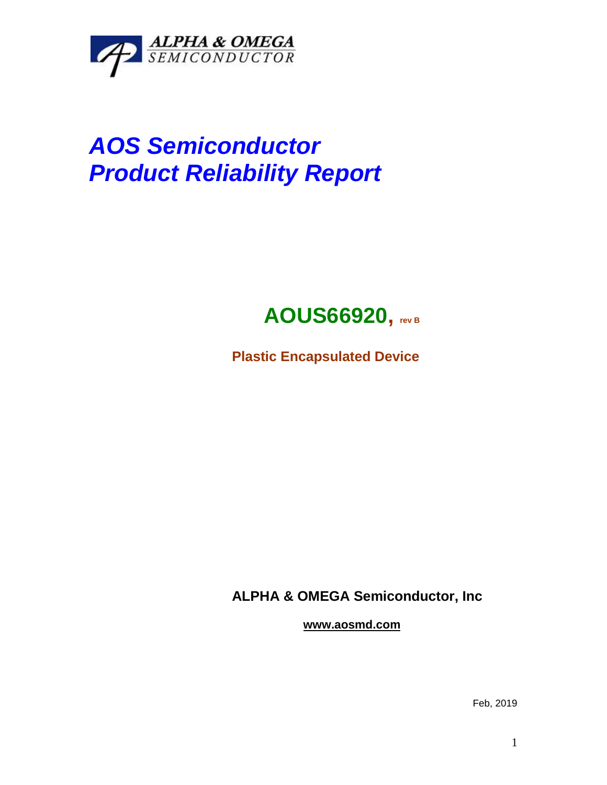

# *AOS Semiconductor Product Reliability Report*

# **AOUS66920, rev <sup>B</sup>**

**Plastic Encapsulated Device**

**ALPHA & OMEGA Semiconductor, Inc**

**www.aosmd.com**

Feb, 2019